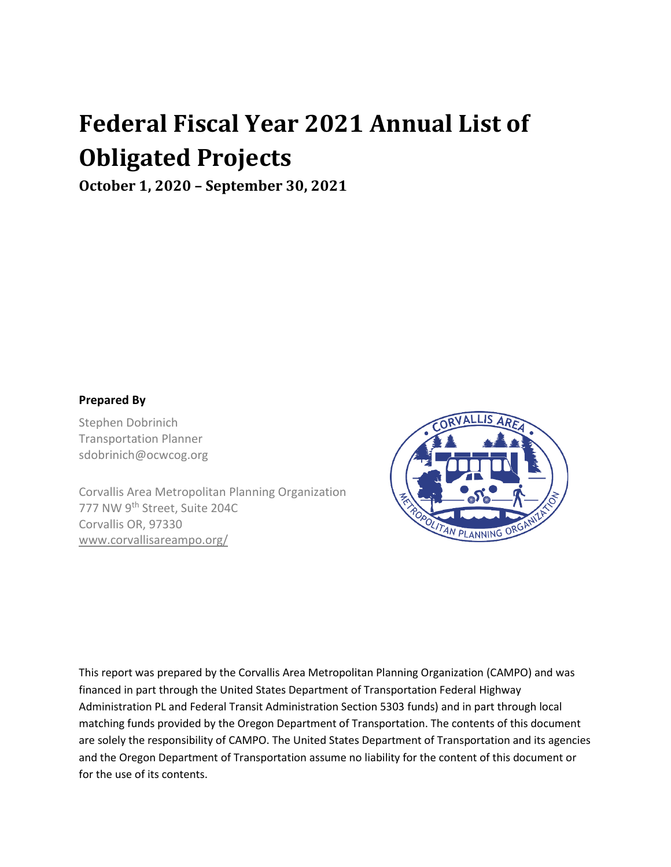# **Federal Fiscal Year 2021 Annual List of Obligated Projects**

**October 1, 2020 – September 30, 2021**

## **Prepared By**

Stephen Dobrinich Transportation Planner sdobrinich@ocwcog.org

Corvallis Area Metropolitan Planning Organization 777 NW 9th Street, Suite 204C Corvallis OR, 97330 www.corvallisareampo.org/



This report was prepared by the Corvallis Area Metropolitan Planning Organization (CAMPO) and was financed in part through the United States Department of Transportation Federal Highway Administration PL and Federal Transit Administration Section 5303 funds) and in part through local matching funds provided by the Oregon Department of Transportation. The contents of this document are solely the responsibility of CAMPO. The United States Department of Transportation and its agencies and the Oregon Department of Transportation assume no liability for the content of this document or for the use of its contents.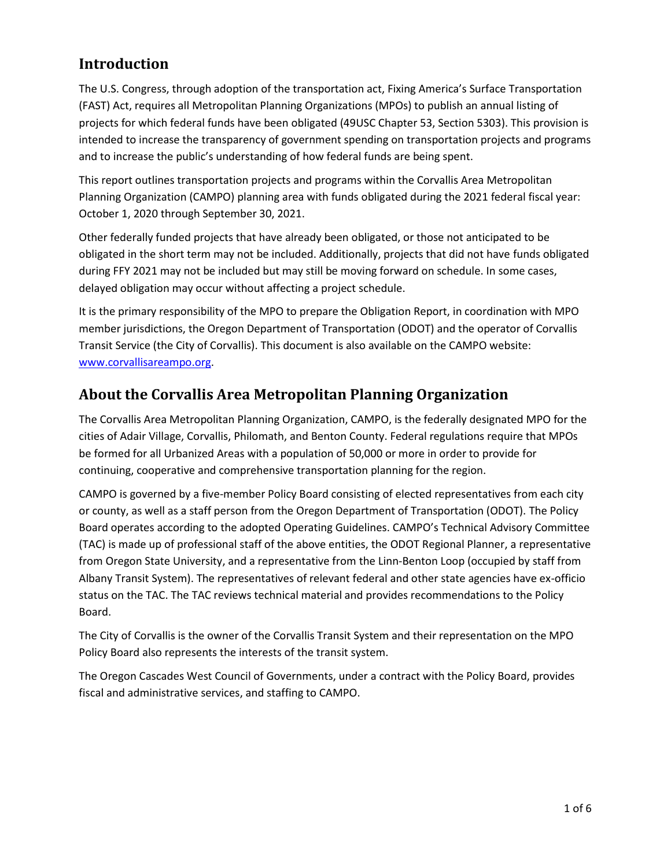## **Introduction**

The U.S. Congress, through adoption of the transportation act, Fixing America's Surface Transportation (FAST) Act, requires all Metropolitan Planning Organizations (MPOs) to publish an annual listing of projects for which federal funds have been obligated (49USC Chapter 53, Section 5303). This provision is intended to increase the transparency of government spending on transportation projects and programs and to increase the public's understanding of how federal funds are being spent.

This report outlines transportation projects and programs within the Corvallis Area Metropolitan Planning Organization (CAMPO) planning area with funds obligated during the 2021 federal fiscal year: October 1, 2020 through September 30, 2021.

Other federally funded projects that have already been obligated, or those not anticipated to be obligated in the short term may not be included. Additionally, projects that did not have funds obligated during FFY 2021 may not be included but may still be moving forward on schedule. In some cases, delayed obligation may occur without affecting a project schedule.

It is the primary responsibility of the MPO to prepare the Obligation Report, in coordination with MPO member jurisdictions, the Oregon Department of Transportation (ODOT) and the operator of Corvallis Transit Service (the City of Corvallis). This document is also available on the CAMPO website: [www.corvallisareampo.org.](http://www.corvallisareampo.org/)

## **About the Corvallis Area Metropolitan Planning Organization**

The Corvallis Area Metropolitan Planning Organization, CAMPO, is the federally designated MPO for the cities of Adair Village, Corvallis, Philomath, and Benton County. Federal regulations require that MPOs be formed for all Urbanized Areas with a population of 50,000 or more in order to provide for continuing, cooperative and comprehensive transportation planning for the region.

CAMPO is governed by a five-member Policy Board consisting of elected representatives from each city or county, as well as a staff person from the Oregon Department of Transportation (ODOT). The Policy Board operates according to the adopted Operating Guidelines. CAMPO's Technical Advisory Committee (TAC) is made up of professional staff of the above entities, the ODOT Regional Planner, a representative from Oregon State University, and a representative from the Linn-Benton Loop (occupied by staff from Albany Transit System). The representatives of relevant federal and other state agencies have ex-officio status on the TAC. The TAC reviews technical material and provides recommendations to the Policy Board.

The City of Corvallis is the owner of the Corvallis Transit System and their representation on the MPO Policy Board also represents the interests of the transit system.

The Oregon Cascades West Council of Governments, under a contract with the Policy Board, provides fiscal and administrative services, and staffing to CAMPO.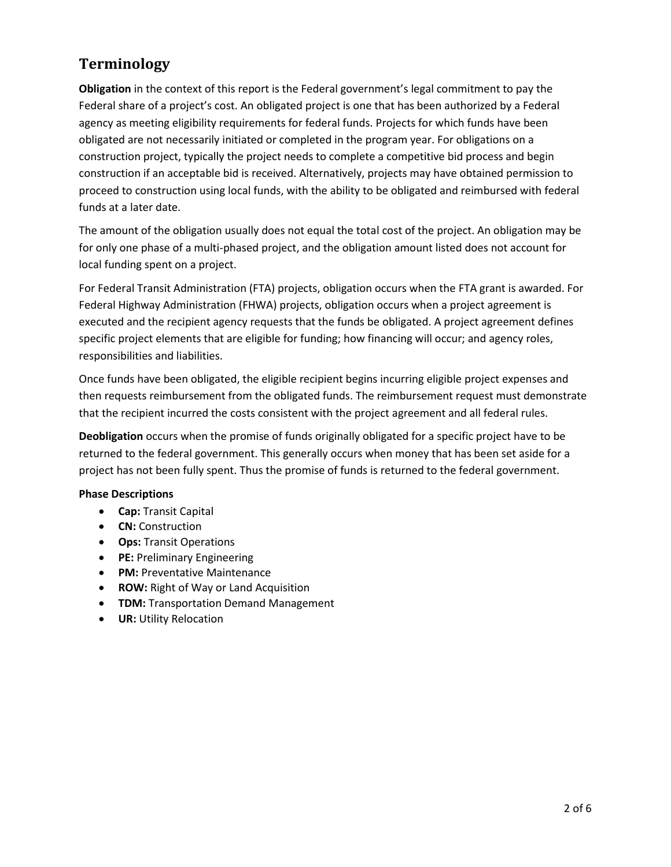# **Terminology**

**Obligation** in the context of this report is the Federal government's legal commitment to pay the Federal share of a project's cost. An obligated project is one that has been authorized by a Federal agency as meeting eligibility requirements for federal funds. Projects for which funds have been obligated are not necessarily initiated or completed in the program year. For obligations on a construction project, typically the project needs to complete a competitive bid process and begin construction if an acceptable bid is received. Alternatively, projects may have obtained permission to proceed to construction using local funds, with the ability to be obligated and reimbursed with federal funds at a later date.

The amount of the obligation usually does not equal the total cost of the project. An obligation may be for only one phase of a multi-phased project, and the obligation amount listed does not account for local funding spent on a project.

For Federal Transit Administration (FTA) projects, obligation occurs when the FTA grant is awarded. For Federal Highway Administration (FHWA) projects, obligation occurs when a project agreement is executed and the recipient agency requests that the funds be obligated. A project agreement defines specific project elements that are eligible for funding; how financing will occur; and agency roles, responsibilities and liabilities.

Once funds have been obligated, the eligible recipient begins incurring eligible project expenses and then requests reimbursement from the obligated funds. The reimbursement request must demonstrate that the recipient incurred the costs consistent with the project agreement and all federal rules.

**Deobligation** occurs when the promise of funds originally obligated for a specific project have to be returned to the federal government. This generally occurs when money that has been set aside for a project has not been fully spent. Thus the promise of funds is returned to the federal government.

#### **Phase Descriptions**

- **Cap:** Transit Capital
- **CN:** Construction
- **Ops:** Transit Operations
- **PE:** Preliminary Engineering
- **PM:** Preventative Maintenance
- **ROW:** Right of Way or Land Acquisition
- **TDM:** Transportation Demand Management
- **UR:** Utility Relocation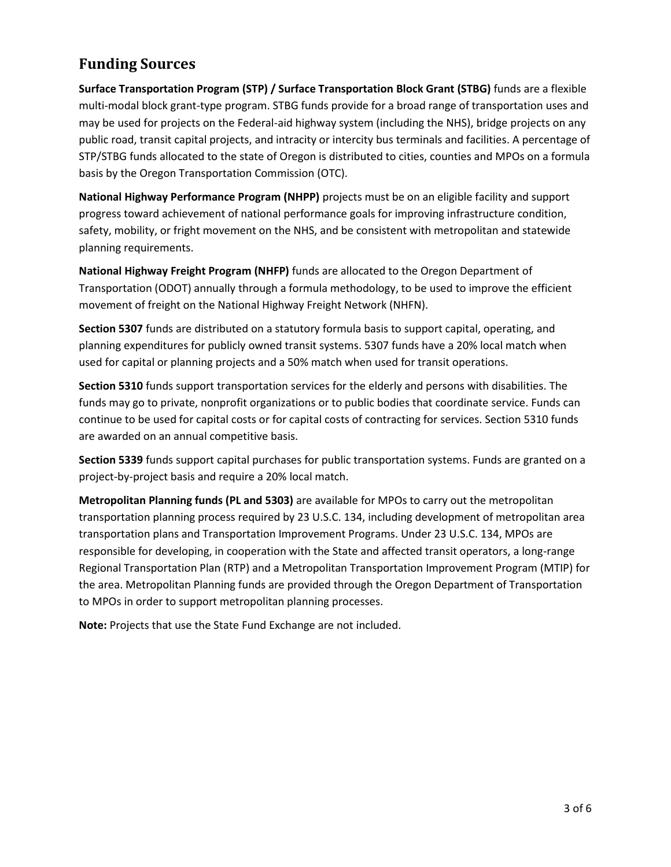## **Funding Sources**

**Surface Transportation Program (STP) / Surface Transportation Block Grant (STBG)** funds are a flexible multi-modal block grant-type program. STBG funds provide for a broad range of transportation uses and may be used for projects on the Federal-aid highway system (including the NHS), bridge projects on any public road, transit capital projects, and intracity or intercity bus terminals and facilities. A percentage of STP/STBG funds allocated to the state of Oregon is distributed to cities, counties and MPOs on a formula basis by the Oregon Transportation Commission (OTC).

**National Highway Performance Program (NHPP)** projects must be on an eligible facility and support progress toward achievement of national performance goals for improving infrastructure condition, safety, mobility, or fright movement on the NHS, and be consistent with metropolitan and statewide planning requirements.

**National Highway Freight Program (NHFP)** funds are allocated to the Oregon Department of Transportation (ODOT) annually through a formula methodology, to be used to improve the efficient movement of freight on the National Highway Freight Network (NHFN).

**Section 5307** funds are distributed on a statutory formula basis to support capital, operating, and planning expenditures for publicly owned transit systems. 5307 funds have a 20% local match when used for capital or planning projects and a 50% match when used for transit operations.

**Section 5310** funds support transportation services for the elderly and persons with disabilities. The funds may go to private, nonprofit organizations or to public bodies that coordinate service. Funds can continue to be used for capital costs or for capital costs of contracting for services. Section 5310 funds are awarded on an annual competitive basis.

**Section 5339** funds support capital purchases for public transportation systems. Funds are granted on a project-by-project basis and require a 20% local match.

**Metropolitan Planning funds (PL and 5303)** are available for MPOs to carry out the metropolitan transportation planning process required by 23 U.S.C. 134, including development of metropolitan area transportation plans and Transportation Improvement Programs. Under 23 U.S.C. 134, MPOs are responsible for developing, in cooperation with the State and affected transit operators, a long-range Regional Transportation Plan (RTP) and a Metropolitan Transportation Improvement Program (MTIP) for the area. Metropolitan Planning funds are provided through the Oregon Department of Transportation to MPOs in order to support metropolitan planning processes.

**Note:** Projects that use the State Fund Exchange are not included.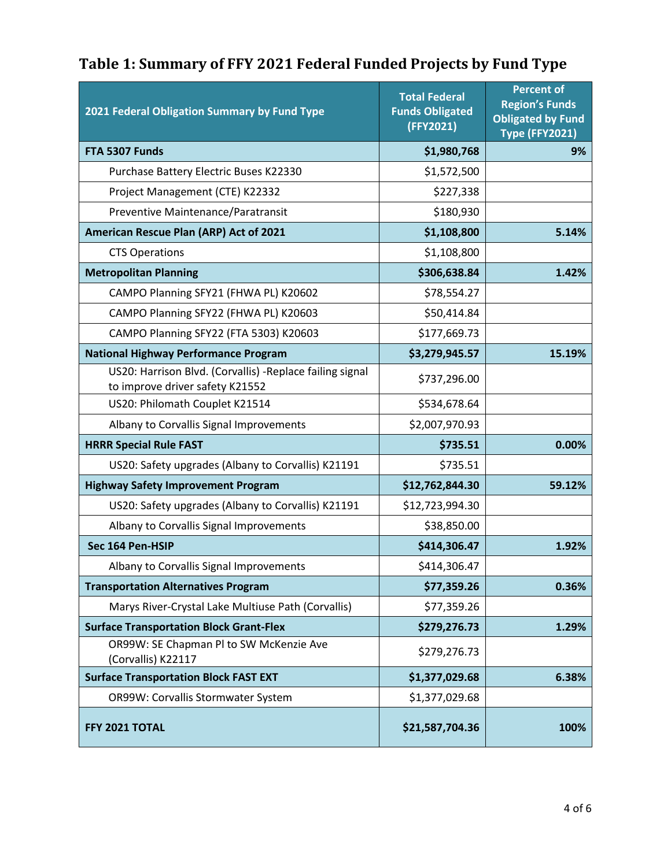| Table 1: Summary of FFY 2021 Federal Funded Projects by Fund Type |  |  |
|-------------------------------------------------------------------|--|--|
|                                                                   |  |  |

| 2021 Federal Obligation Summary by Fund Type                                                | <b>Total Federal</b><br><b>Funds Obligated</b><br>(FFY2021) | <b>Percent of</b><br><b>Region's Funds</b><br><b>Obligated by Fund</b><br><b>Type (FFY2021)</b> |
|---------------------------------------------------------------------------------------------|-------------------------------------------------------------|-------------------------------------------------------------------------------------------------|
| FTA 5307 Funds                                                                              | \$1,980,768                                                 | 9%                                                                                              |
| Purchase Battery Electric Buses K22330                                                      | \$1,572,500                                                 |                                                                                                 |
| Project Management (CTE) K22332                                                             | \$227,338                                                   |                                                                                                 |
| Preventive Maintenance/Paratransit                                                          | \$180,930                                                   |                                                                                                 |
| American Rescue Plan (ARP) Act of 2021                                                      | \$1,108,800                                                 | 5.14%                                                                                           |
| <b>CTS Operations</b>                                                                       | \$1,108,800                                                 |                                                                                                 |
| <b>Metropolitan Planning</b>                                                                | \$306,638.84                                                | 1.42%                                                                                           |
| CAMPO Planning SFY21 (FHWA PL) K20602                                                       | \$78,554.27                                                 |                                                                                                 |
| CAMPO Planning SFY22 (FHWA PL) K20603                                                       | \$50,414.84                                                 |                                                                                                 |
| CAMPO Planning SFY22 (FTA 5303) K20603                                                      | \$177,669.73                                                |                                                                                                 |
| <b>National Highway Performance Program</b>                                                 | \$3,279,945.57                                              | 15.19%                                                                                          |
| US20: Harrison Blvd. (Corvallis) -Replace failing signal<br>to improve driver safety K21552 | \$737,296.00                                                |                                                                                                 |
| US20: Philomath Couplet K21514                                                              | \$534,678.64                                                |                                                                                                 |
| Albany to Corvallis Signal Improvements                                                     | \$2,007,970.93                                              |                                                                                                 |
| <b>HRRR Special Rule FAST</b>                                                               | \$735.51                                                    | 0.00%                                                                                           |
| US20: Safety upgrades (Albany to Corvallis) K21191                                          | \$735.51                                                    |                                                                                                 |
| <b>Highway Safety Improvement Program</b>                                                   | \$12,762,844.30                                             | 59.12%                                                                                          |
| US20: Safety upgrades (Albany to Corvallis) K21191                                          | \$12,723,994.30                                             |                                                                                                 |
| Albany to Corvallis Signal Improvements                                                     | \$38,850.00                                                 |                                                                                                 |
| Sec 164 Pen-HSIP                                                                            | \$414,306.47                                                | 1.92%                                                                                           |
| Albany to Corvallis Signal Improvements                                                     | \$414,306.47                                                |                                                                                                 |
| <b>Transportation Alternatives Program</b>                                                  | \$77,359.26                                                 | 0.36%                                                                                           |
| Marys River-Crystal Lake Multiuse Path (Corvallis)                                          | \$77,359.26                                                 |                                                                                                 |
| <b>Surface Transportation Block Grant-Flex</b>                                              | \$279,276.73                                                | 1.29%                                                                                           |
| OR99W: SE Chapman PI to SW McKenzie Ave<br>(Corvallis) K22117                               | \$279,276.73                                                |                                                                                                 |
| <b>Surface Transportation Block FAST EXT</b>                                                | \$1,377,029.68                                              | 6.38%                                                                                           |
| OR99W: Corvallis Stormwater System                                                          | \$1,377,029.68                                              |                                                                                                 |
| FFY 2021 TOTAL                                                                              | \$21,587,704.36                                             | 100%                                                                                            |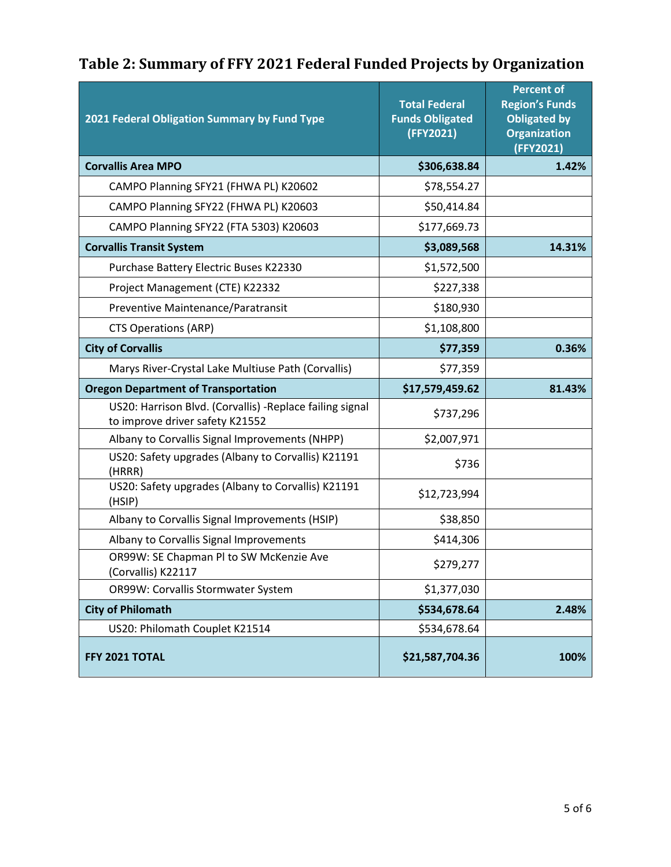| Table 2: Summary of FFY 2021 Federal Funded Projects by Organization |
|----------------------------------------------------------------------|
|----------------------------------------------------------------------|

| 2021 Federal Obligation Summary by Fund Type                                                 | <b>Total Federal</b><br><b>Funds Obligated</b><br>(FFY2021) | <b>Percent of</b><br><b>Region's Funds</b><br><b>Obligated by</b><br><b>Organization</b><br>(FFY2021) |
|----------------------------------------------------------------------------------------------|-------------------------------------------------------------|-------------------------------------------------------------------------------------------------------|
| <b>Corvallis Area MPO</b>                                                                    | \$306,638.84                                                | 1.42%                                                                                                 |
| CAMPO Planning SFY21 (FHWA PL) K20602                                                        | \$78,554.27                                                 |                                                                                                       |
| CAMPO Planning SFY22 (FHWA PL) K20603                                                        | \$50,414.84                                                 |                                                                                                       |
| CAMPO Planning SFY22 (FTA 5303) K20603                                                       | \$177,669.73                                                |                                                                                                       |
| <b>Corvallis Transit System</b>                                                              | \$3,089,568                                                 | 14.31%                                                                                                |
| Purchase Battery Electric Buses K22330                                                       | \$1,572,500                                                 |                                                                                                       |
| Project Management (CTE) K22332                                                              | \$227,338                                                   |                                                                                                       |
| Preventive Maintenance/Paratransit                                                           | \$180,930                                                   |                                                                                                       |
| <b>CTS Operations (ARP)</b>                                                                  | \$1,108,800                                                 |                                                                                                       |
| <b>City of Corvallis</b>                                                                     | \$77,359                                                    | 0.36%                                                                                                 |
| Marys River-Crystal Lake Multiuse Path (Corvallis)                                           | \$77,359                                                    |                                                                                                       |
| <b>Oregon Department of Transportation</b>                                                   | \$17,579,459.62                                             | 81.43%                                                                                                |
| US20: Harrison Blvd. (Corvallis) - Replace failing signal<br>to improve driver safety K21552 | \$737,296                                                   |                                                                                                       |
| Albany to Corvallis Signal Improvements (NHPP)                                               | \$2,007,971                                                 |                                                                                                       |
| US20: Safety upgrades (Albany to Corvallis) K21191<br>(HRRR)                                 | \$736                                                       |                                                                                                       |
| US20: Safety upgrades (Albany to Corvallis) K21191<br>(HSIP)                                 | \$12,723,994                                                |                                                                                                       |
| Albany to Corvallis Signal Improvements (HSIP)                                               | \$38,850                                                    |                                                                                                       |
| Albany to Corvallis Signal Improvements                                                      | \$414,306                                                   |                                                                                                       |
| OR99W: SE Chapman Pl to SW McKenzie Ave<br>(Corvallis) K22117                                | \$279,277                                                   |                                                                                                       |
| OR99W: Corvallis Stormwater System                                                           | \$1,377,030                                                 |                                                                                                       |
| <b>City of Philomath</b>                                                                     | \$534,678.64                                                | 2.48%                                                                                                 |
| US20: Philomath Couplet K21514                                                               | \$534,678.64                                                |                                                                                                       |
| FFY 2021 TOTAL                                                                               | \$21,587,704.36                                             | 100%                                                                                                  |